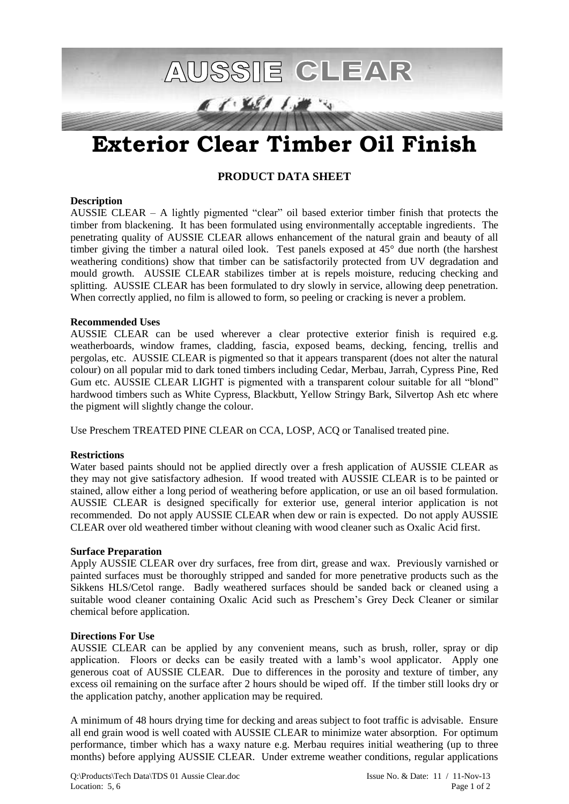

# **Exterior Clear Timber Oil Finish**

## **PRODUCT DATA SHEET**

#### **Description**

AUSSIE CLEAR – A lightly pigmented "clear" oil based exterior timber finish that protects the timber from blackening. It has been formulated using environmentally acceptable ingredients. The penetrating quality of AUSSIE CLEAR allows enhancement of the natural grain and beauty of all timber giving the timber a natural oiled look. Test panels exposed at 45° due north (the harshest weathering conditions) show that timber can be satisfactorily protected from UV degradation and mould growth. AUSSIE CLEAR stabilizes timber at is repels moisture, reducing checking and splitting. AUSSIE CLEAR has been formulated to dry slowly in service, allowing deep penetration. When correctly applied, no film is allowed to form, so peeling or cracking is never a problem.

#### **Recommended Uses**

AUSSIE CLEAR can be used wherever a clear protective exterior finish is required e.g. weatherboards, window frames, cladding, fascia, exposed beams, decking, fencing, trellis and pergolas, etc. AUSSIE CLEAR is pigmented so that it appears transparent (does not alter the natural colour) on all popular mid to dark toned timbers including Cedar, Merbau, Jarrah, Cypress Pine, Red Gum etc. AUSSIE CLEAR LIGHT is pigmented with a transparent colour suitable for all "blond" hardwood timbers such as White Cypress, Blackbutt, Yellow Stringy Bark, Silvertop Ash etc where the pigment will slightly change the colour.

Use Preschem TREATED PINE CLEAR on CCA, LOSP, ACQ or Tanalised treated pine.

## **Restrictions**

Water based paints should not be applied directly over a fresh application of AUSSIE CLEAR as they may not give satisfactory adhesion. If wood treated with AUSSIE CLEAR is to be painted or stained, allow either a long period of weathering before application, or use an oil based formulation. AUSSIE CLEAR is designed specifically for exterior use, general interior application is not recommended. Do not apply AUSSIE CLEAR when dew or rain is expected. Do not apply AUSSIE CLEAR over old weathered timber without cleaning with wood cleaner such as Oxalic Acid first.

## **Surface Preparation**

Apply AUSSIE CLEAR over dry surfaces, free from dirt, grease and wax. Previously varnished or painted surfaces must be thoroughly stripped and sanded for more penetrative products such as the Sikkens HLS/Cetol range. Badly weathered surfaces should be sanded back or cleaned using a suitable wood cleaner containing Oxalic Acid such as Preschem's Grey Deck Cleaner or similar chemical before application.

#### **Directions For Use**

AUSSIE CLEAR can be applied by any convenient means, such as brush, roller, spray or dip application. Floors or decks can be easily treated with a lamb's wool applicator. Apply one generous coat of AUSSIE CLEAR. Due to differences in the porosity and texture of timber, any excess oil remaining on the surface after 2 hours should be wiped off. If the timber still looks dry or the application patchy, another application may be required.

A minimum of 48 hours drying time for decking and areas subject to foot traffic is advisable. Ensure all end grain wood is well coated with AUSSIE CLEAR to minimize water absorption. For optimum performance, timber which has a waxy nature e.g. Merbau requires initial weathering (up to three months) before applying AUSSIE CLEAR. Under extreme weather conditions, regular applications